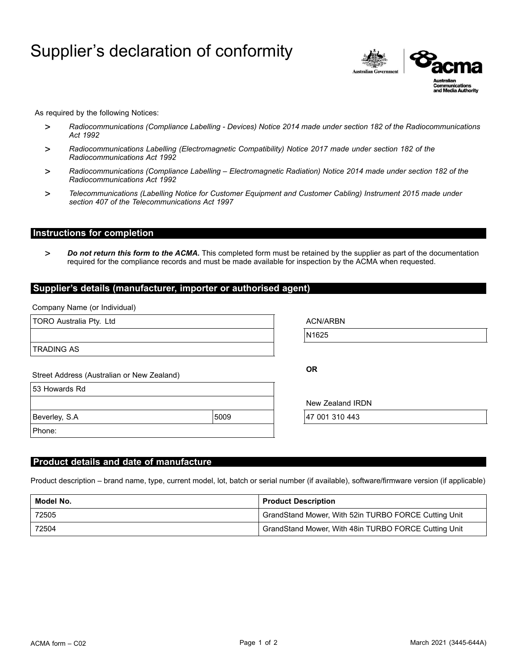# Supplier's declaration of conformity



As required by the following Notices:

- > *Radiocommunications (Compliance Labelling - Devices) Notice 2014 made under section 182 of the Radiocommunications Act 1992*
- > *Radiocommunications Labelling (Electromagnetic Compatibility) Notice 2017 made under section 182 of the Radiocommunications Act 1992*
- > *Radiocommunications (Compliance Labelling – Electromagnetic Radiation) Notice 2014 made under section 182 of the Radiocommunications Act 1992*
- > *Telecommunications (Labelling Notice for Customer Equipment and Customer Cabling) Instrument 2015 made under section 407 of the Telecommunications Act 1997*

# **Instructions for completion**

> *Do not return this form to the ACMA.* This completed form must be retained by the supplier as part of the documentation required for the compliance records and must be made available for inspection by the ACMA when requested.

#### **Supplier's details (manufacturer, importer or authorised agent)**

Company Name (or Individual)

| TORO Australia Pty. Ltd                    |      | <b>ACN/ARBN</b>  |  |
|--------------------------------------------|------|------------------|--|
|                                            |      | N1625            |  |
| <b>TRADING AS</b>                          |      |                  |  |
| Street Address (Australian or New Zealand) |      | <b>OR</b>        |  |
| 53 Howards Rd                              |      |                  |  |
|                                            |      | New Zealand IRDN |  |
| Beverley, S.A                              | 5009 | 47 001 310 443   |  |
| Phone:                                     |      |                  |  |
|                                            |      |                  |  |
|                                            |      |                  |  |

### **Product details and date of manufacture**

Product description – brand name, type, current model, lot, batch or serial number (if available), software/firmware version (if applicable)

| Model No. | <b>Product Description</b>                           |
|-----------|------------------------------------------------------|
| 72505     | GrandStand Mower, With 52in TURBO FORCE Cutting Unit |
| 72504     | GrandStand Mower, With 48in TURBO FORCE Cutting Unit |